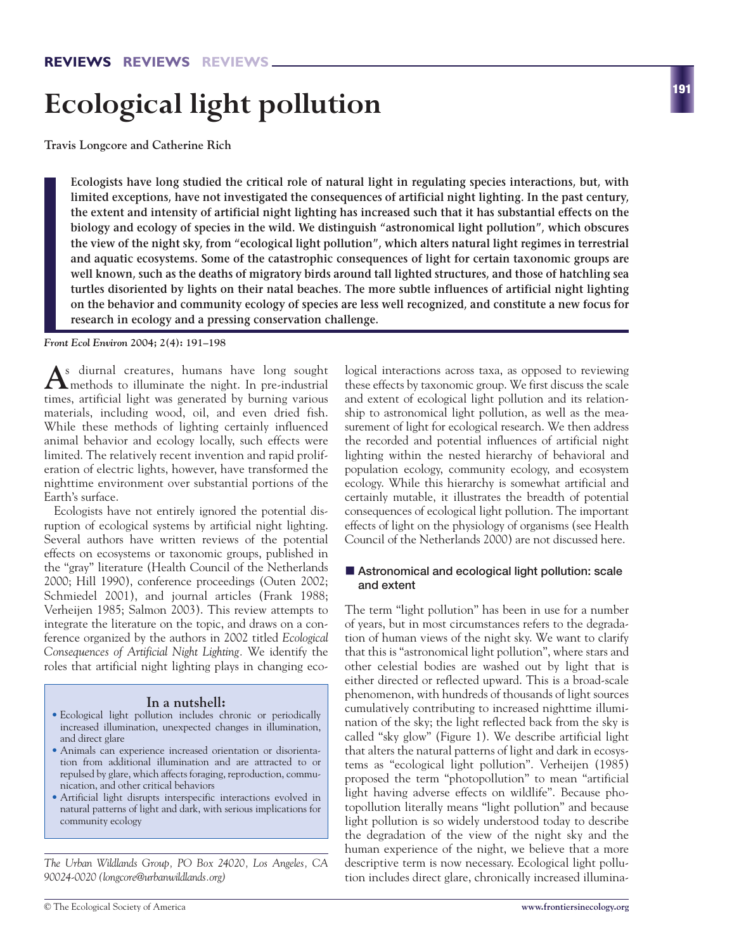# **Ecological light pollution**

**Travis Longcore and Catherine Rich**

**Ecologists have long studied the critical role of natural light in regulating species interactions, but, with limited exceptions, have not investigated the consequences of artificial night lighting. In the past century, the extent and intensity of artificial night lighting has increased such that it has substantial effects on the biology and ecology of species in the wild. We distinguish "astronomical light pollution", which obscures the view of the night sky, from "ecological light pollution", which alters natural light regimes in terrestrial and aquatic ecosystems. Some of the catastrophic consequences of light for certain taxonomic groups are well known, such as the deaths of migratory birds around tall lighted structures, and those of hatchling sea turtles disoriented by lights on their natal beaches. The more subtle influences of artificial night lighting on the behavior and community ecology of species are less well recognized, and constitute a new focus for research in ecology and a pressing conservation challenge.** 

*Front Ecol Environ* **2004; 2(4): 191–198**

**A**s diurnal creatures, humans have long sought methods to illuminate the night. In pre-industrial times, artificial light was generated by burning various materials, including wood, oil, and even dried fish. While these methods of lighting certainly influenced animal behavior and ecology locally, such effects were limited. The relatively recent invention and rapid proliferation of electric lights, however, have transformed the nighttime environment over substantial portions of the Earth's surface.

Ecologists have not entirely ignored the potential disruption of ecological systems by artificial night lighting. Several authors have written reviews of the potential effects on ecosystems or taxonomic groups, published in the "gray" literature (Health Council of the Netherlands 2000; Hill 1990), conference proceedings (Outen 2002; Schmiedel 2001), and journal articles (Frank 1988; Verheijen 1985; Salmon 2003). This review attempts to integrate the literature on the topic, and draws on a conference organized by the authors in 2002 titled *Ecological Consequences of Artificial Night Lighting.* We identify the roles that artificial night lighting plays in changing eco-

### **In a nutshell:**

- Ecological light pollution includes chronic or periodically increased illumination, unexpected changes in illumination, and direct glare
- Animals can experience increased orientation or disorientation from additional illumination and are attracted to or repulsed by glare, which affects foraging, reproduction, communication, and other critical behaviors
- Artificial light disrupts interspecific interactions evolved in natural patterns of light and dark, with serious implications for community ecology

*The Urban Wildlands Group, PO Box 24020, Los Angeles, CA 90024-0020 (longcore@urbanwildlands.org)*

logical interactions across taxa, as opposed to reviewing these effects by taxonomic group. We first discuss the scale and extent of ecological light pollution and its relationship to astronomical light pollution, as well as the measurement of light for ecological research. We then address the recorded and potential influences of artificial night lighting within the nested hierarchy of behavioral and population ecology, community ecology, and ecosystem ecology. While this hierarchy is somewhat artificial and certainly mutable, it illustrates the breadth of potential consequences of ecological light pollution. The important effects of light on the physiology of organisms (see Health Council of the Netherlands 2000) are not discussed here.

### $\blacksquare$  Astronomical and ecological light pollution: scale **and extent**

The term "light pollution" has been in use for a number of years, but in most circumstances refers to the degradation of human views of the night sky. We want to clarify that this is "astronomical light pollution", where stars and other celestial bodies are washed out by light that is either directed or reflected upward. This is a broad-scale phenomenon, with hundreds of thousands of light sources cumulatively contributing to increased nighttime illumination of the sky; the light reflected back from the sky is called "sky glow" (Figure 1). We describe artificial light that alters the natural patterns of light and dark in ecosystems as "ecological light pollution". Verheijen (1985) proposed the term "photopollution" to mean "artificial light having adverse effects on wildlife". Because photopollution literally means "light pollution" and because light pollution is so widely understood today to describe the degradation of the view of the night sky and the human experience of the night, we believe that a more descriptive term is now necessary. Ecological light pollution includes direct glare, chronically increased illumina-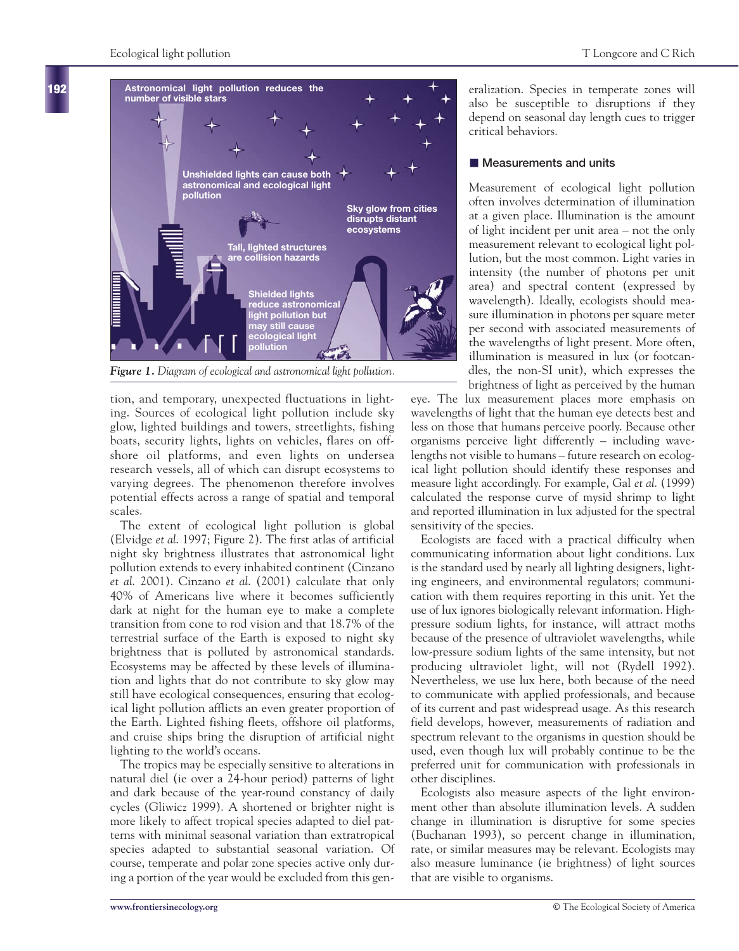

*Figure 1. Diagram of ecological and astronomical light pollution.*

tion, and temporary, unexpected fluctuations in lighting. Sources of ecological light pollution include sky glow, lighted buildings and towers, streetlights, fishing boats, security lights, lights on vehicles, flares on offshore oil platforms, and even lights on undersea research vessels, all of which can disrupt ecosystems to varying degrees. The phenomenon therefore involves potential effects across a range of spatial and temporal scales.

The extent of ecological light pollution is global (Elvidge *et al*. 1997; Figure 2). The first atlas of artificial night sky brightness illustrates that astronomical light pollution extends to every inhabited continent (Cinzano *et al*. 2001). Cinzano *et al*. (2001) calculate that only 40% of Americans live where it becomes sufficiently dark at night for the human eye to make a complete transition from cone to rod vision and that 18.7% of the terrestrial surface of the Earth is exposed to night sky brightness that is polluted by astronomical standards. Ecosystems may be affected by these levels of illumination and lights that do not contribute to sky glow may still have ecological consequences, ensuring that ecological light pollution afflicts an even greater proportion of the Earth. Lighted fishing fleets, offshore oil platforms, and cruise ships bring the disruption of artificial night lighting to the world's oceans.

The tropics may be especially sensitive to alterations in natural diel (ie over a 24-hour period) patterns of light and dark because of the year-round constancy of daily cycles (Gliwicz 1999). A shortened or brighter night is more likely to affect tropical species adapted to diel patterns with minimal seasonal variation than extratropical species adapted to substantial seasonal variation. Of course, temperate and polar zone species active only during a portion of the year would be excluded from this generalization. Species in temperate zones will also be susceptible to disruptions if they depend on seasonal day length cues to trigger critical behaviors.

## - **Measurements and units**

Measurement of ecological light pollution often involves determination of illumination at a given place. Illumination is the amount of light incident per unit area – not the only measurement relevant to ecological light pollution, but the most common. Light varies in intensity (the number of photons per unit area) and spectral content (expressed by wavelength). Ideally, ecologists should measure illumination in photons per square meter per second with associated measurements of the wavelengths of light present. More often, illumination is measured in lux (or footcandles, the non-SI unit), which expresses the brightness of light as perceived by the human

eye. The lux measurement places more emphasis on wavelengths of light that the human eye detects best and less on those that humans perceive poorly. Because other organisms perceive light differently – including wavelengths not visible to humans – future research on ecological light pollution should identify these responses and measure light accordingly. For example, Gal *et al*. (1999) calculated the response curve of mysid shrimp to light and reported illumination in lux adjusted for the spectral sensitivity of the species.

Ecologists are faced with a practical difficulty when communicating information about light conditions. Lux is the standard used by nearly all lighting designers, lighting engineers, and environmental regulators; communication with them requires reporting in this unit. Yet the use of lux ignores biologically relevant information. Highpressure sodium lights, for instance, will attract moths because of the presence of ultraviolet wavelengths, while low-pressure sodium lights of the same intensity, but not producing ultraviolet light, will not (Rydell 1992). Nevertheless, we use lux here, both because of the need to communicate with applied professionals, and because of its current and past widespread usage. As this research field develops, however, measurements of radiation and spectrum relevant to the organisms in question should be used, even though lux will probably continue to be the preferred unit for communication with professionals in other disciplines.

Ecologists also measure aspects of the light environment other than absolute illumination levels. A sudden change in illumination is disruptive for some species (Buchanan 1993), so percent change in illumination, rate, or similar measures may be relevant. Ecologists may also measure luminance (ie brightness) of light sources that are visible to organisms.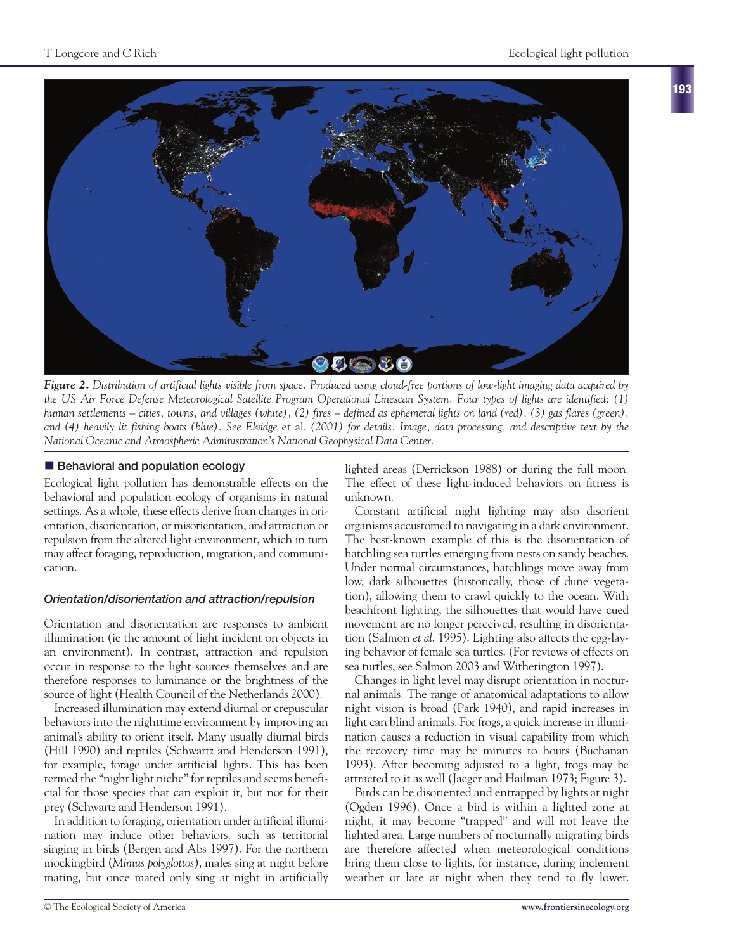

*Figure 2. Distribution of artificial lights visible from space. Produced using cloud-free portions of low-light imaging data acquired by the US Air Force Defense Meteorological Satellite Program Operational Linescan System. Four types of lights are identified: (1) human settlements – cities, towns, and villages (white), (2) fires – defined as ephemeral lights on land (red), (3) gas flares (green), and (4) heavily lit fishing boats (blue). See Elvidge* et al. *(2001) for details. Image, data processing, and descriptive text by the National Oceanic and Atmospheric Administration's National Geophysical Data Center.* 

## **Behavioral and population ecology**

Ecological light pollution has demonstrable effects on the behavioral and population ecology of organisms in natural settings. As a whole, these effects derive from changes in orientation, disorientation, or misorientation, and attraction or repulsion from the altered light environment, which in turn may affect foraging, reproduction, migration, and communication.

## *Orientation/disorientation and attraction/repulsion*

Orientation and disorientation are responses to ambient illumination (ie the amount of light incident on objects in an environment). In contrast, attraction and repulsion occur in response to the light sources themselves and are therefore responses to luminance or the brightness of the source of light (Health Council of the Netherlands 2000).

Increased illumination may extend diurnal or crepuscular behaviors into the nighttime environment by improving an animal's ability to orient itself. Many usually diurnal birds (Hill 1990) and reptiles (Schwartz and Henderson 1991), for example, forage under artificial lights. This has been termed the "night light niche" for reptiles and seems beneficial for those species that can exploit it, but not for their prey (Schwartz and Henderson 1991).

In addition to foraging, orientation under artificial illumination may induce other behaviors, such as territorial singing in birds (Bergen and Abs 1997). For the northern mockingbird (*Mimus polyglottos*), males sing at night before mating, but once mated only sing at night in artificially lighted areas (Derrickson 1988) or during the full moon. The effect of these light-induced behaviors on fitness is unknown.

Constant artificial night lighting may also disorient organisms accustomed to navigating in a dark environment. The best-known example of this is the disorientation of hatchling sea turtles emerging from nests on sandy beaches. Under normal circumstances, hatchlings move away from low, dark silhouettes (historically, those of dune vegetation), allowing them to crawl quickly to the ocean. With beachfront lighting, the silhouettes that would have cued movement are no longer perceived, resulting in disorientation (Salmon *et al*. 1995). Lighting also affects the egg-laying behavior of female sea turtles. (For reviews of effects on sea turtles, see Salmon 2003 and Witherington 1997).

Changes in light level may disrupt orientation in nocturnal animals. The range of anatomical adaptations to allow night vision is broad (Park 1940), and rapid increases in light can blind animals. For frogs, a quick increase in illumination causes a reduction in visual capability from which the recovery time may be minutes to hours (Buchanan 1993). After becoming adjusted to a light, frogs may be attracted to it as well (Jaeger and Hailman 1973; Figure 3).

Birds can be disoriented and entrapped by lights at night (Ogden 1996). Once a bird is within a lighted zone at night, it may become "trapped" and will not leave the lighted area. Large numbers of nocturnally migrating birds are therefore affected when meteorological conditions bring them close to lights, for instance, during inclement weather or late at night when they tend to fly lower.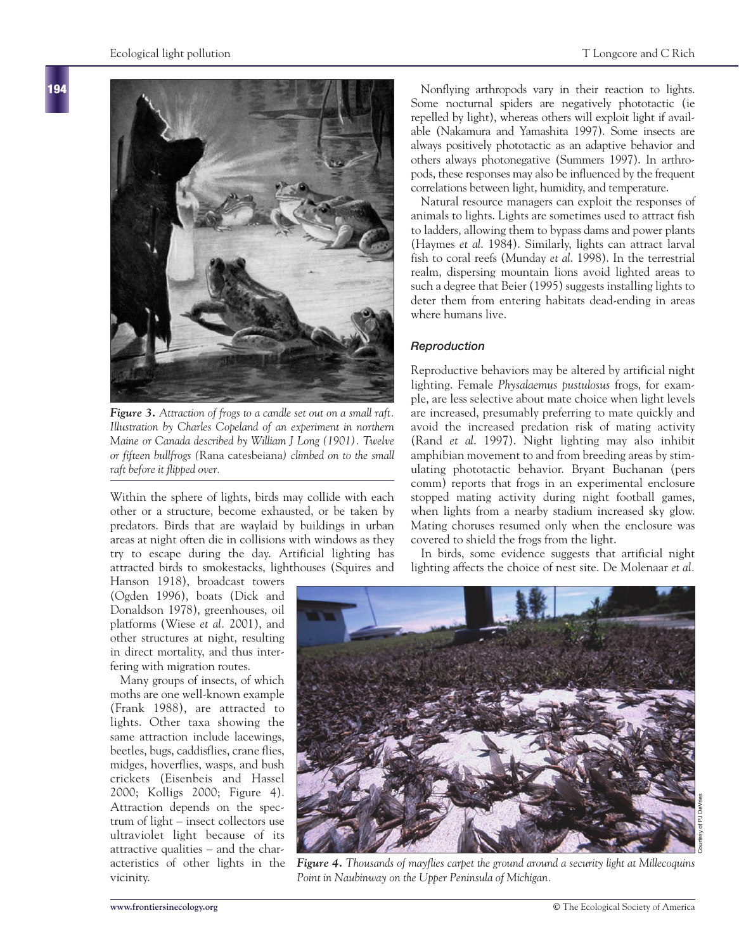

*Figure 3. Attraction of frogs to a candle set out on a small raft. Illustration by Charles Copeland of an experiment in northern Maine or Canada described by William J Long (1901). Twelve or fifteen bullfrogs (*Rana catesbeiana*) climbed on to the small raft before it flipped over.*

Within the sphere of lights, birds may collide with each other or a structure, become exhausted, or be taken by predators. Birds that are waylaid by buildings in urban areas at night often die in collisions with windows as they try to escape during the day. Artificial lighting has attracted birds to smokestacks, lighthouses (Squires and

Hanson 1918), broadcast towers (Ogden 1996), boats (Dick and Donaldson 1978), greenhouses, oil platforms (Wiese *et al.* 2001), and other structures at night, resulting in direct mortality, and thus interfering with migration routes.

Many groups of insects, of which moths are one well-known example (Frank 1988), are attracted to lights. Other taxa showing the same attraction include lacewings, beetles, bugs, caddisflies, crane flies, midges, hoverflies, wasps, and bush crickets (Eisenbeis and Hassel 2000; Kolligs 2000; Figure 4). Attraction depends on the spectrum of light – insect collectors use ultraviolet light because of its attractive qualities – and the characteristics of other lights in the vicinity.

Nonflying arthropods vary in their reaction to lights. Some nocturnal spiders are negatively phototactic (ie repelled by light), whereas others will exploit light if available (Nakamura and Yamashita 1997). Some insects are always positively phototactic as an adaptive behavior and others always photonegative (Summers 1997). In arthropods, these responses may also be influenced by the frequent correlations between light, humidity, and temperature.

Natural resource managers can exploit the responses of animals to lights. Lights are sometimes used to attract fish to ladders, allowing them to bypass dams and power plants (Haymes *et al*. 1984). Similarly, lights can attract larval fish to coral reefs (Munday *et al*. 1998). In the terrestrial realm, dispersing mountain lions avoid lighted areas to such a degree that Beier (1995) suggests installing lights to deter them from entering habitats dead-ending in areas where humans live.

## *Reproduction*

Reproductive behaviors may be altered by artificial night lighting. Female *Physalaemus pustulosus* frogs, for example, are less selective about mate choice when light levels are increased, presumably preferring to mate quickly and avoid the increased predation risk of mating activity (Rand *et al*. 1997). Night lighting may also inhibit amphibian movement to and from breeding areas by stimulating phototactic behavior. Bryant Buchanan (pers comm) reports that frogs in an experimental enclosure stopped mating activity during night football games, when lights from a nearby stadium increased sky glow. Mating choruses resumed only when the enclosure was covered to shield the frogs from the light.

In birds, some evidence suggests that artificial night lighting affects the choice of nest site. De Molenaar *et al.*



*Figure 4. Thousands of mayflies carpet the ground around a security light at Millecoquins Point in Naubinway on the Upper Peninsula of Michigan.*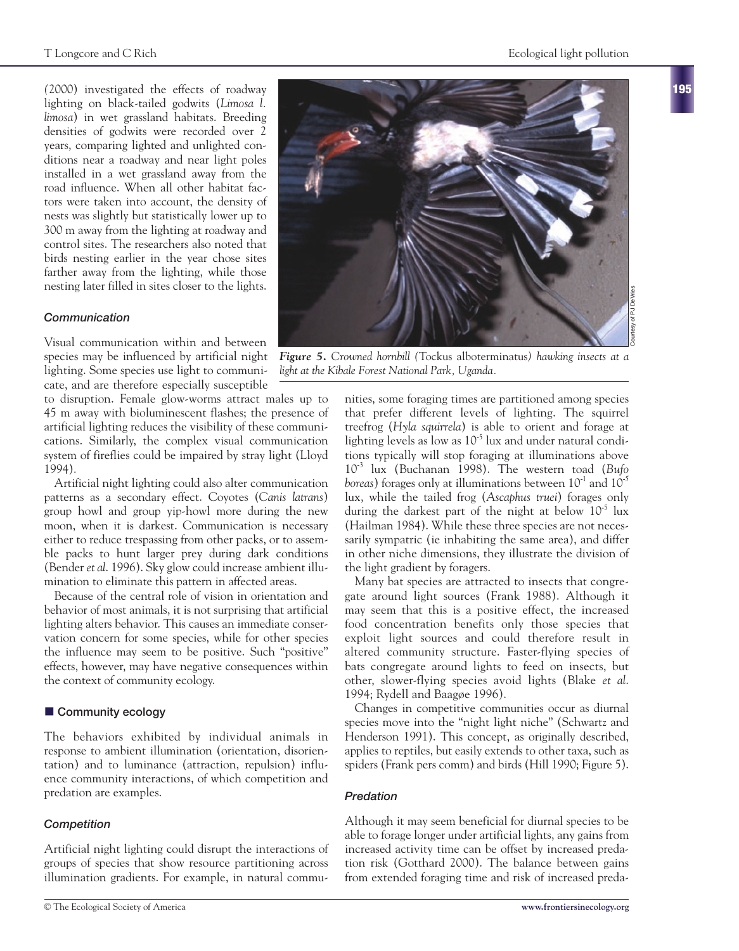**195**

*(*2000) investigated the effects of roadway lighting on black-tailed godwits (*Limosa l. limosa*) in wet grassland habitats. Breeding densities of godwits were recorded over 2 years, comparing lighted and unlighted conditions near a roadway and near light poles installed in a wet grassland away from the road influence. When all other habitat factors were taken into account, the density of nests was slightly but statistically lower up to 300 m away from the lighting at roadway and control sites. The researchers also noted that birds nesting earlier in the year chose sites farther away from the lighting, while those nesting later filled in sites closer to the lights.

### *Communication*

Visual communication within and between lighting. Some species use light to communicate, and are therefore especially susceptible

to disruption. Female glow-worms attract males up to 45 m away with bioluminescent flashes; the presence of artificial lighting reduces the visibility of these communications. Similarly, the complex visual communication system of fireflies could be impaired by stray light (Lloyd 1994).

Artificial night lighting could also alter communication patterns as a secondary effect. Coyotes (*Canis latrans*) group howl and group yip-howl more during the new moon, when it is darkest. Communication is necessary either to reduce trespassing from other packs, or to assemble packs to hunt larger prey during dark conditions (Bender *et al*. 1996). Sky glow could increase ambient illumination to eliminate this pattern in affected areas.

Because of the central role of vision in orientation and behavior of most animals, it is not surprising that artificial lighting alters behavior. This causes an immediate conservation concern for some species, while for other species the influence may seem to be positive. Such "positive" effects, however, may have negative consequences within the context of community ecology.

## $\blacksquare$  Community ecology

The behaviors exhibited by individual animals in response to ambient illumination (orientation, disorientation) and to luminance (attraction, repulsion) influence community interactions, of which competition and predation are examples.

### *Competition*

Artificial night lighting could disrupt the interactions of groups of species that show resource partitioning across illumination gradients. For example, in natural commu-



species may be influenced by artificial night *Figure 5. Crowned hornbill (*Tockus alboterminatus*) hawking insects at a light at the Kibale Forest National Park, Uganda.*

nities, some foraging times are partitioned among species that prefer different levels of lighting. The squirrel treefrog (*Hyla squirrela*) is able to orient and forage at lighting levels as low as  $10^{-5}$  lux and under natural conditions typically will stop foraging at illuminations above 10-<sup>3</sup> lux (Buchanan 1998). The western toad (*Bufo boreas*) forages only at illuminations between 10-<sup>1</sup> and 10-*<sup>5</sup>* lux, while the tailed frog (*Ascaphus truei*) forages only during the darkest part of the night at below  $10^{-5}$  lux (Hailman 1984). While these three species are not necessarily sympatric (ie inhabiting the same area), and differ in other niche dimensions, they illustrate the division of the light gradient by foragers.

Many bat species are attracted to insects that congregate around light sources (Frank 1988). Although it may seem that this is a positive effect, the increased food concentration benefits only those species that exploit light sources and could therefore result in altered community structure. Faster-flying species of bats congregate around lights to feed on insects, but other, slower-flying species avoid lights (Blake *et al*. 1994; Rydell and Baagøe 1996).

Changes in competitive communities occur as diurnal species move into the "night light niche" (Schwartz and Henderson 1991). This concept, as originally described, applies to reptiles, but easily extends to other taxa, such as spiders (Frank pers comm) and birds (Hill 1990; Figure 5).

### *Predation*

Although it may seem beneficial for diurnal species to be able to forage longer under artificial lights, any gains from increased activity time can be offset by increased predation risk (Gotthard 2000). The balance between gains from extended foraging time and risk of increased preda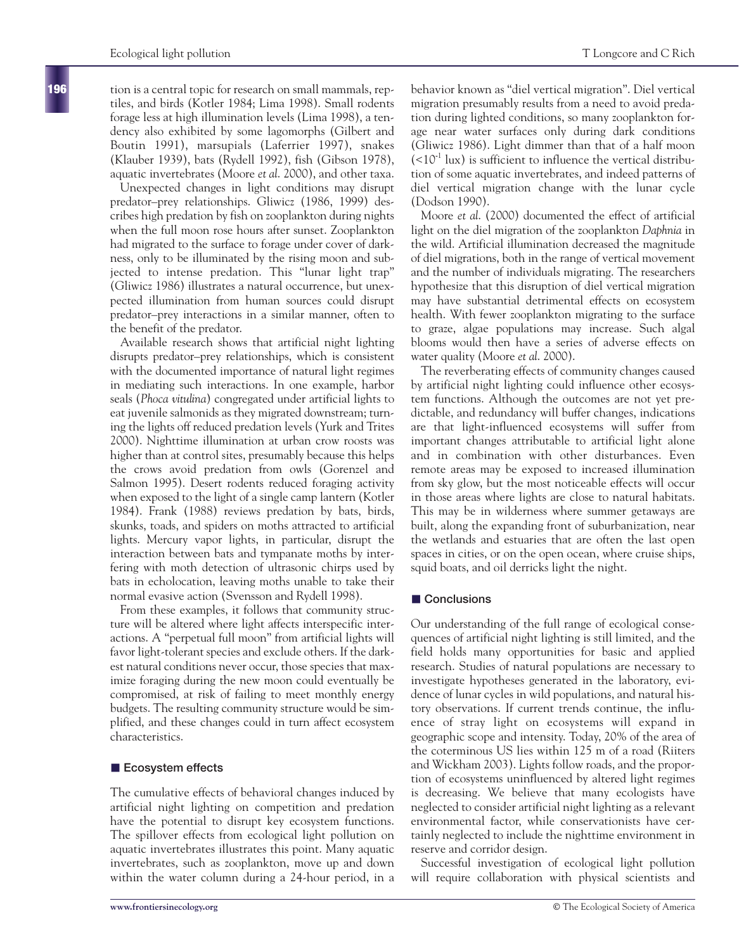tion is a central topic for research on small mammals, reptiles, and birds (Kotler 1984; Lima 1998). Small rodents forage less at high illumination levels (Lima 1998), a tendency also exhibited by some lagomorphs (Gilbert and Boutin 1991), marsupials (Laferrier 1997), snakes (Klauber 1939), bats (Rydell 1992), fish (Gibson 1978), aquatic invertebrates (Moore *et al*. 2000), and other taxa.

Unexpected changes in light conditions may disrupt predator–prey relationships. Gliwicz (1986, 1999) describes high predation by fish on zooplankton during nights when the full moon rose hours after sunset. Zooplankton had migrated to the surface to forage under cover of darkness, only to be illuminated by the rising moon and subjected to intense predation. This "lunar light trap" (Gliwicz 1986) illustrates a natural occurrence, but unexpected illumination from human sources could disrupt predator–prey interactions in a similar manner, often to the benefit of the predator.

Available research shows that artificial night lighting disrupts predator–prey relationships, which is consistent with the documented importance of natural light regimes in mediating such interactions. In one example, harbor seals (*Phoca vitulina*) congregated under artificial lights to eat juvenile salmonids as they migrated downstream; turning the lights off reduced predation levels (Yurk and Trites 2000). Nighttime illumination at urban crow roosts was higher than at control sites, presumably because this helps the crows avoid predation from owls (Gorenzel and Salmon 1995). Desert rodents reduced foraging activity when exposed to the light of a single camp lantern (Kotler 1984). Frank (1988) reviews predation by bats, birds, skunks, toads, and spiders on moths attracted to artificial lights. Mercury vapor lights, in particular, disrupt the interaction between bats and tympanate moths by interfering with moth detection of ultrasonic chirps used by bats in echolocation, leaving moths unable to take their normal evasive action (Svensson and Rydell 1998).

From these examples, it follows that community structure will be altered where light affects interspecific interactions. A "perpetual full moon" from artificial lights will favor light-tolerant species and exclude others. If the darkest natural conditions never occur, those species that maximize foraging during the new moon could eventually be compromised, at risk of failing to meet monthly energy budgets. The resulting community structure would be simplified, and these changes could in turn affect ecosystem characteristics.

## **Ecosystem effects**

The cumulative effects of behavioral changes induced by artificial night lighting on competition and predation have the potential to disrupt key ecosystem functions. The spillover effects from ecological light pollution on aquatic invertebrates illustrates this point. Many aquatic invertebrates, such as zooplankton, move up and down within the water column during a 24-hour period, in a

behavior known as "diel vertical migration". Diel vertical migration presumably results from a need to avoid predation during lighted conditions, so many zooplankton forage near water surfaces only during dark conditions (Gliwicz 1986). Light dimmer than that of a half moon  $(<10<sup>-1</sup>$  lux) is sufficient to influence the vertical distribution of some aquatic invertebrates, and indeed patterns of diel vertical migration change with the lunar cycle (Dodson 1990).

Moore *et al*. (2000) documented the effect of artificial light on the diel migration of the zooplankton *Daphnia* in the wild. Artificial illumination decreased the magnitude of diel migrations, both in the range of vertical movement and the number of individuals migrating. The researchers hypothesize that this disruption of diel vertical migration may have substantial detrimental effects on ecosystem health. With fewer zooplankton migrating to the surface to graze, algae populations may increase. Such algal blooms would then have a series of adverse effects on water quality (Moore *et al*. 2000).

The reverberating effects of community changes caused by artificial night lighting could influence other ecosystem functions. Although the outcomes are not yet predictable, and redundancy will buffer changes, indications are that light-influenced ecosystems will suffer from important changes attributable to artificial light alone and in combination with other disturbances. Even remote areas may be exposed to increased illumination from sky glow, but the most noticeable effects will occur in those areas where lights are close to natural habitats. This may be in wilderness where summer getaways are built, along the expanding front of suburbanization, near the wetlands and estuaries that are often the last open spaces in cities, or on the open ocean, where cruise ships, squid boats, and oil derricks light the night.

## $\blacksquare$  Conclusions

Our understanding of the full range of ecological consequences of artificial night lighting is still limited, and the field holds many opportunities for basic and applied research. Studies of natural populations are necessary to investigate hypotheses generated in the laboratory, evidence of lunar cycles in wild populations, and natural history observations. If current trends continue, the influence of stray light on ecosystems will expand in geographic scope and intensity. Today, 20% of the area of the coterminous US lies within 125 m of a road (Riiters and Wickham 2003). Lights follow roads, and the proportion of ecosystems uninfluenced by altered light regimes is decreasing. We believe that many ecologists have neglected to consider artificial night lighting as a relevant environmental factor, while conservationists have certainly neglected to include the nighttime environment in reserve and corridor design.

Successful investigation of ecological light pollution will require collaboration with physical scientists and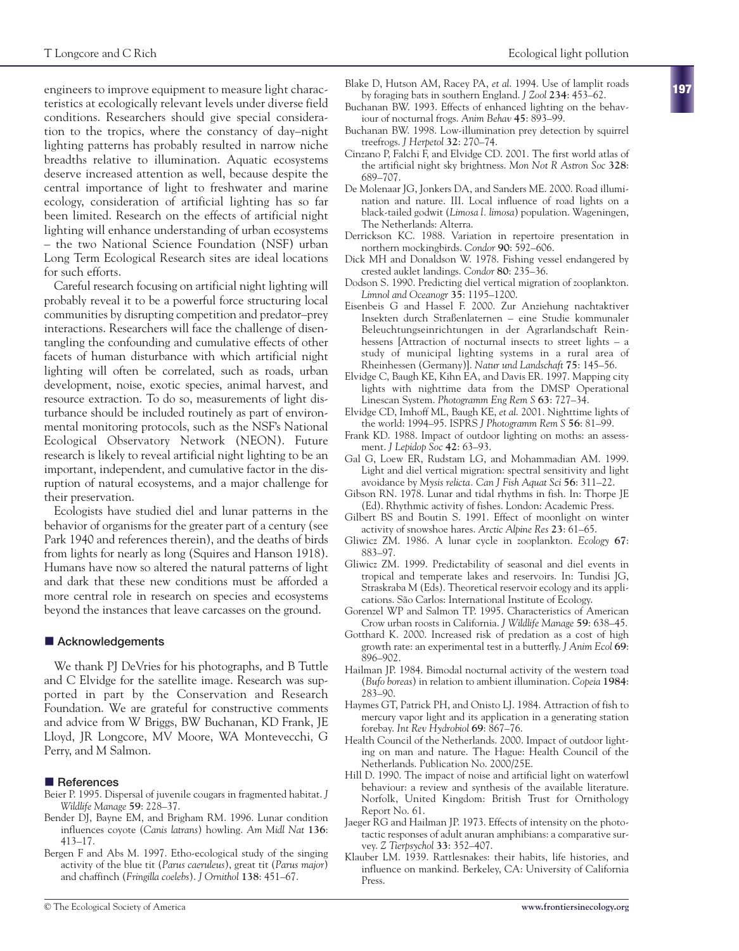engineers to improve equipment to measure light characteristics at ecologically relevant levels under diverse field conditions. Researchers should give special consideration to the tropics, where the constancy of day–night lighting patterns has probably resulted in narrow niche breadths relative to illumination. Aquatic ecosystems deserve increased attention as well, because despite the central importance of light to freshwater and marine ecology, consideration of artificial lighting has so far been limited. Research on the effects of artificial night lighting will enhance understanding of urban ecosystems – the two National Science Foundation (NSF) urban Long Term Ecological Research sites are ideal locations for such efforts.

Careful research focusing on artificial night lighting will probably reveal it to be a powerful force structuring local communities by disrupting competition and predator–prey interactions. Researchers will face the challenge of disentangling the confounding and cumulative effects of other facets of human disturbance with which artificial night lighting will often be correlated, such as roads, urban development, noise, exotic species, animal harvest, and resource extraction. To do so, measurements of light disturbance should be included routinely as part of environmental monitoring protocols, such as the NSF's National Ecological Observatory Network (NEON). Future research is likely to reveal artificial night lighting to be an important, independent, and cumulative factor in the disruption of natural ecosystems, and a major challenge for their preservation.

Ecologists have studied diel and lunar patterns in the behavior of organisms for the greater part of a century (see Park 1940 and references therein), and the deaths of birds from lights for nearly as long (Squires and Hanson 1918). Humans have now so altered the natural patterns of light and dark that these new conditions must be afforded a more central role in research on species and ecosystems beyond the instances that leave carcasses on the ground.

## ■ Acknowledgements

We thank PJ DeVries for his photographs, and B Tuttle and C Elvidge for the satellite image. Research was supported in part by the Conservation and Research Foundation. We are grateful for constructive comments and advice from W Briggs, BW Buchanan, KD Frank, JE Lloyd, JR Longcore, MV Moore, WA Montevecchi, G Perry, and M Salmon.

## - **References**

- Beier P. 1995. Dispersal of juvenile cougars in fragmented habitat. *J Wildlife Manage* **59**: 228–37.
- Bender DJ, Bayne EM, and Brigham RM. 1996. Lunar condition influences coyote (*Canis latrans*) howling. *Am Midl Nat* **136**: 413–17.
- Bergen F and Abs M. 1997. Etho-ecological study of the singing activity of the blue tit (*Parus caeruleus*), great tit (*Parus major*) and chaffinch (*Fringilla coelebs*). *J Ornithol* **138**: 451–67.
- 
- Blake D, Hutson AM, Racey PA, *et al*. 1994. Use of lamplit roads by foraging bats in southern England. *J Zool* **234**: 453–62.
- Buchanan BW. 1993. Effects of enhanced lighting on the behaviour of nocturnal frogs. *Anim Behav* **45**: 893–99.
- Buchanan BW. 1998. Low-illumination prey detection by squirrel treefrogs. *J Herpetol* **32**: 270–74.
- Cinzano P, Falchi F, and Elvidge CD. 2001. The first world atlas of the artificial night sky brightness. *Mon Not R Astron Soc* **328**: 689–707.
- De Molenaar JG, Jonkers DA, and Sanders ME. 2000. Road illumination and nature. III. Local influence of road lights on a black-tailed godwit (*Limosa l. limosa*) population. Wageningen, The Netherlands: Alterra.
- Derrickson KC. 1988. Variation in repertoire presentation in northern mockingbirds. *Condor* **90**: 592–606.
- Dick MH and Donaldson W. 1978. Fishing vessel endangered by crested auklet landings. *Condor* **80**: 235–36.
- Dodson S. 1990. Predicting diel vertical migration of zooplankton. *Limnol and Oceanogr* **35**: 1195–1200.
- Eisenbeis G and Hassel F. 2000. Zur Anziehung nachtaktiver Insekten durch Straßenlaternen – eine Studie kommunaler Beleuchtungseinrichtungen in der Agrarlandschaft Reinhessens [Attraction of nocturnal insects to street lights – a study of municipal lighting systems in a rural area of Rheinhessen (Germany)]. *Natur und Landschaft* **75**: 145–56.
- Elvidge C, Baugh KE, Kihn EA, and Davis ER. 1997. Mapping city lights with nighttime data from the DMSP Operational Linescan System. *Photogramm Eng Rem S* **63**: 727–34.
- Elvidge CD, Imhoff ML, Baugh KE, *et al*. 2001. Nighttime lights of the world: 1994–95. ISPRS *J Photogramm Rem S* **56**: 81–99.
- Frank KD. 1988. Impact of outdoor lighting on moths: an assessment. *J Lepidop Soc* **42**: 63–93.
- Gal G, Loew ER, Rudstam LG, and Mohammadian AM. 1999. Light and diel vertical migration: spectral sensitivity and light avoidance by *Mysis relicta. Can J Fish Aquat Sci* **56**: 311–22.
- Gibson RN. 1978. Lunar and tidal rhythms in fish. In: Thorpe JE (Ed). Rhythmic activity of fishes. London: Academic Press.
- Gilbert BS and Boutin S. 1991. Effect of moonlight on winter activity of snowshoe hares. *Arctic Alpine Res* **23**: 61–65.
- Gliwicz ZM. 1986. A lunar cycle in zooplankton. *Ecology* **67**: 883–97.
- Gliwicz ZM. 1999. Predictability of seasonal and diel events in tropical and temperate lakes and reservoirs. In: Tundisi JG, Straskraba M (Eds). Theoretical reservoir ecology and its applications. São Carlos: International Institute of Ecology.
- Gorenzel WP and Salmon TP. 1995. Characteristics of American Crow urban roosts in California. *J Wildlife Manage* **59**: 638–45.
- Gotthard K. 2000. Increased risk of predation as a cost of high growth rate: an experimental test in a butterfly. *J Anim Ecol* **69**: 896–902.
- Hailman JP. 1984. Bimodal nocturnal activity of the western toad (*Bufo boreas*) in relation to ambient illumination. *Copeia* **1984**: 283–90.
- Haymes GT, Patrick PH, and Onisto LJ. 1984. Attraction of fish to mercury vapor light and its application in a generating station forebay. *Int Rev Hydrobiol* **69**: 867–76.
- Health Council of the Netherlands. 2000. Impact of outdoor lighting on man and nature. The Hague: Health Council of the Netherlands. Publication No. 2000/25E.
- Hill D. 1990. The impact of noise and artificial light on waterfowl behaviour: a review and synthesis of the available literature. Norfolk, United Kingdom: British Trust for Ornithology Report No. 61.
- Jaeger RG and Hailman JP. 1973. Effects of intensity on the phototactic responses of adult anuran amphibians: a comparative survey. *Z Tierpsychol* **33**: 352–407.
- Klauber LM. 1939. Rattlesnakes: their habits, life histories, and influence on mankind. Berkeley, CA: University of California Press.